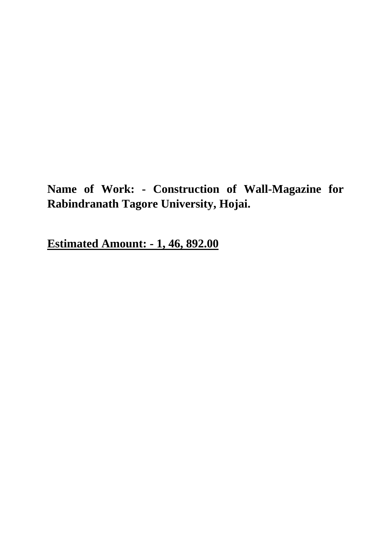**Name of Work: - Construction of Wall-Magazine for Rabindranath Tagore University, Hojai.**

**Estimated Amount: - 1, 46, 892.00**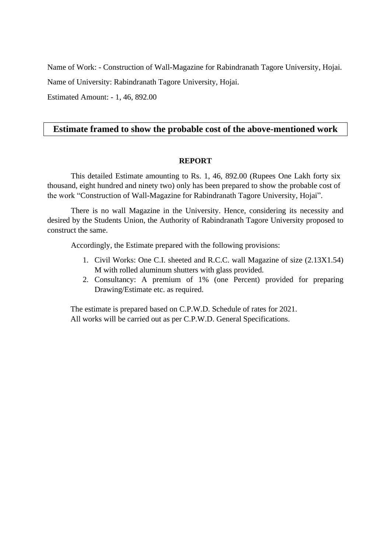Name of Work: - Construction of Wall-Magazine for Rabindranath Tagore University, Hojai.

Name of University: Rabindranath Tagore University, Hojai.

Estimated Amount: - 1, 46, 892.00

## **Estimate framed to show the probable cost of the above-mentioned work**

### **REPORT**

 This detailed Estimate amounting to Rs. 1, 46, 892.00 (Rupees One Lakh forty six thousand, eight hundred and ninety two) only has been prepared to show the probable cost of the work "Construction of Wall-Magazine for Rabindranath Tagore University, Hojai".

There is no wall Magazine in the University. Hence, considering its necessity and desired by the Students Union, the Authority of Rabindranath Tagore University proposed to construct the same.

Accordingly, the Estimate prepared with the following provisions:

- 1. Civil Works: One C.I. sheeted and R.C.C. wall Magazine of size (2.13X1.54) M with rolled aluminum shutters with glass provided.
- 2. Consultancy: A premium of 1% (one Percent) provided for preparing Drawing/Estimate etc. as required.

The estimate is prepared based on C.P.W.D. Schedule of rates for 2021. All works will be carried out as per C.P.W.D. General Specifications.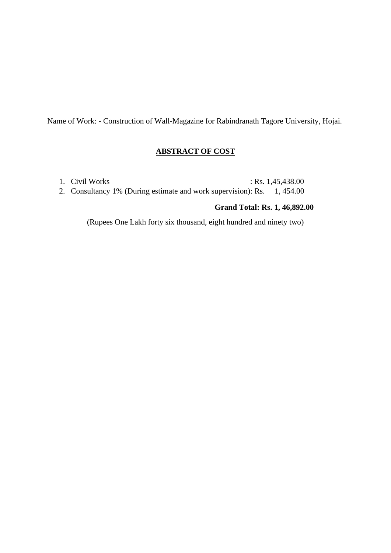Name of Work: - Construction of Wall-Magazine for Rabindranath Tagore University, Hojai.

## **ABSTRACT OF COST**

| 1. Civil Works                                                          | : Rs. $1,45,438.00$ |
|-------------------------------------------------------------------------|---------------------|
| 2. Consultancy 1% (During estimate and work supervision): Rs. 1, 454.00 |                     |

# **Grand Total: Rs. 1, 46,892.00**

(Rupees One Lakh forty six thousand, eight hundred and ninety two)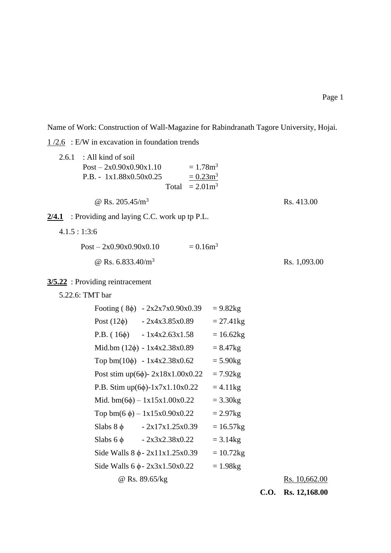Name of Work: Construction of Wall-Magazine for Rabindranath Tagore University, Hojai.

 $1/2.6$  : E/W in excavation in foundation trends

| 2.6.1           | : All kind of soil<br>$Post - 2x0.90x0.90x1.10$<br>$= 1.78$ m <sup>3</sup><br>P.B. - 1x1.88x0.50x0.25<br>$= 0.23 \text{m}^3$<br>$= 2.01 \text{m}^3$<br>Total |              |                      |
|-----------------|--------------------------------------------------------------------------------------------------------------------------------------------------------------|--------------|----------------------|
|                 | @ Rs. $205.45/m^3$                                                                                                                                           |              | Rs. 413.00           |
|                 | $2/4.1$ : Providing and laying C.C. work up tp P.L.                                                                                                          |              |                      |
| 4.1.5:1:3:6     |                                                                                                                                                              |              |                      |
|                 | $= 0.16m3$<br>$Post - 2x0.90x0.90x0.10$                                                                                                                      |              |                      |
|                 | @ Rs. $6.833.40/m^3$                                                                                                                                         |              | Rs. 1,093.00         |
|                 | $3/5.22$ : Providing reintracement                                                                                                                           |              |                      |
| 5.22.6: TMT bar |                                                                                                                                                              |              |                      |
|                 | Footing $(8\phi) - 2x2x7x0.90x0.39$                                                                                                                          | $= 9.82$ kg  |                      |
|                 | Post $(12\phi)$ - 2x4x3.85x0.89                                                                                                                              | $= 27.41$ kg |                      |
|                 | $P.B. (16\phi) - 1x4x2.63x1.58$                                                                                                                              | $= 16.62kg$  |                      |
|                 | Mid.bm $(12\phi) - 1x4x2.38x0.89$                                                                                                                            | $= 8.47$ kg  |                      |
|                 | Top bm $(10\phi)$ - 1x4x2.38x0.62                                                                                                                            | $= 5.90$ kg  |                      |
|                 | Post stim up(6 $\phi$ )- 2x18x1.00x0.22                                                                                                                      | $= 7.92$ kg  |                      |
|                 | P.B. Stim up(6 $\phi$ )-1x7x1.10x0.22                                                                                                                        | $= 4.11$ kg  |                      |
|                 | Mid. bm $(6\phi)$ – 1x15x1.00x0.22                                                                                                                           | $= 3.30$ kg  |                      |
|                 | Top bm(6 $\phi$ ) – 1x15x0.90x0.22                                                                                                                           | $= 2.97$ kg  |                      |
|                 | $-2x17x1.25x0.39$<br>Slabs $8 \phi$                                                                                                                          | $= 16.57$ kg |                      |
|                 | $Slabs 6 \phi - 2x3x2.38x0.22$                                                                                                                               | $= 3.14$ kg  |                      |
|                 | Side Walls $8 \phi - 2x11x1.25x0.39$                                                                                                                         | $= 10.72$ kg |                      |
|                 | Side Walls $6\phi - 2x3x1.50x0.22$                                                                                                                           | $= 1.98$ kg  |                      |
|                 | @ Rs. 89.65/kg                                                                                                                                               |              | <u>Rs. 10,662.00</u> |

**C.O. Rs. 12,168.00**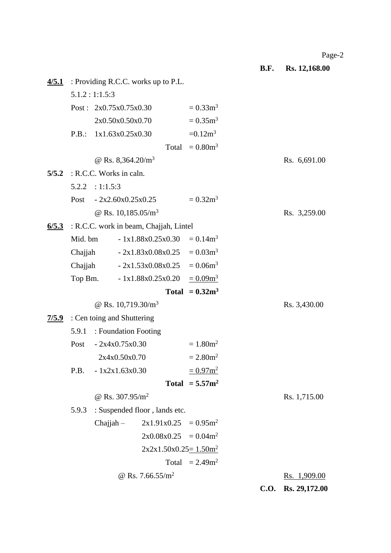Page-2

**B.F. Rs. 12,168.00**

|  |                                              |                          | $4/5.1$ : Providing R.C.C. works up to P.L. |                               |              |             |                     |
|--|----------------------------------------------|--------------------------|---------------------------------------------|-------------------------------|--------------|-------------|---------------------|
|  |                                              | 5.1.2:1:1.5:3            |                                             |                               |              |             |                     |
|  |                                              | Post: $2x0.75x0.75x0.30$ |                                             | $= 0.33 \text{m}^3$           |              |             |                     |
|  |                                              |                          | 2x0.50x0.50x0.70                            | $= 0.35 \text{m}^3$           |              |             |                     |
|  | P.B.:                                        | 1x1.63x0.25x0.30         |                                             | $=0.12m^3$                    |              |             |                     |
|  |                                              |                          |                                             | Total $= 0.80 \text{m}^3$     |              |             |                     |
|  |                                              |                          | @ Rs. 8,364.20/ $m^3$                       |                               |              |             | Rs. 6,691.00        |
|  | $5/5.2$ : R.C.C. Works in caln.              |                          |                                             |                               |              |             |                     |
|  |                                              | $5.2.2$ : 1:1.5:3        |                                             |                               |              |             |                     |
|  |                                              |                          | Post $-2x2.60x0.25x0.25$                    | $= 0.32 \text{m}^3$           |              |             |                     |
|  |                                              |                          | @ Rs. $10,185.05/m^3$                       |                               |              |             | Rs. 3,259.00        |
|  | 6/5.3 : R.C.C. work in beam, Chajjah, Lintel |                          |                                             |                               |              |             |                     |
|  | Mid. bm                                      |                          | $-1x1.88x0.25x0.30 = 0.14m3$                |                               |              |             |                     |
|  | Chajjah $-2x1.83x0.08x0.25 = 0.03m^3$        |                          |                                             |                               |              |             |                     |
|  | Chajjah $-2x1.53x0.08x0.25 = 0.06m^3$        |                          |                                             |                               |              |             |                     |
|  | Top Bm. $1x1.88x0.25x0.20 = 0.09m^3$         |                          |                                             |                               |              |             |                     |
|  |                                              |                          |                                             | Total = $0.32m3$              |              |             |                     |
|  |                                              |                          | @ Rs. $10,719.30/m^3$                       |                               |              |             | Rs. 3,430.00        |
|  | 7/5.9 : Cen toing and Shuttering             |                          |                                             |                               |              |             |                     |
|  | 5.9.1                                        |                          | : Foundation Footing                        |                               |              |             |                     |
|  |                                              | Post $-2x4x0.75x0.30$    |                                             | $= 1.80$ m <sup>2</sup>       |              |             |                     |
|  | 2x4x0.50x0.70                                |                          | $= 2.80$ m <sup>2</sup>                     |                               |              |             |                     |
|  |                                              | $P.B. - 1x2x1.63x0.30$   |                                             | $= 0.97$ m <sup>2</sup>       |              |             |                     |
|  | Total = $5.57m^2$                            |                          |                                             |                               |              |             |                     |
|  | @ Rs. $307.95/m^2$                           |                          |                                             |                               | Rs. 1,715.00 |             |                     |
|  | : Suspended floor, lands etc.<br>5.9.3       |                          |                                             |                               |              |             |                     |
|  |                                              | $Chajjah -$              | $2x1.91x0.25 = 0.95m^2$                     |                               |              |             |                     |
|  |                                              |                          | $2x0.08x0.25 = 0.04m^2$                     |                               |              |             |                     |
|  | $2x2x1.50x0.25=1.50m2$                       |                          |                                             |                               |              |             |                     |
|  |                                              |                          |                                             | Total $= 2.49$ m <sup>2</sup> |              |             |                     |
|  |                                              |                          | @ Rs. 7.66.55/m <sup>2</sup>                |                               |              |             | <u>Rs. 1,909.00</u> |
|  |                                              |                          |                                             |                               |              | <b>C.O.</b> | Rs. 29,172.00       |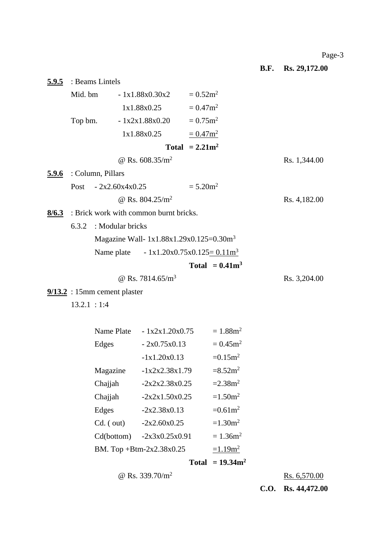**B.F. Rs. 29,172.00**

|              | $5.9.5$ : Beams Lintels                                                  |                                        |                                            |                         |                         |              |               |
|--------------|--------------------------------------------------------------------------|----------------------------------------|--------------------------------------------|-------------------------|-------------------------|--------------|---------------|
|              |                                                                          |                                        | Mid. bm $-1x1.88x0.30x2 = 0.52m^2$         |                         |                         |              |               |
|              |                                                                          |                                        | $1x1.88x0.25 = 0.47m^2$                    |                         |                         |              |               |
|              |                                                                          |                                        | Top bm. $1x2x1.88x0.20 = 0.75m^2$          |                         |                         |              |               |
|              |                                                                          |                                        | $1x1.88x0.25 = 0.47m^2$                    |                         |                         |              |               |
|              |                                                                          |                                        |                                            | Total = $2.21m^2$       |                         |              |               |
|              |                                                                          |                                        | @ Rs. $608.35/m^2$                         |                         |                         |              | Rs. 1,344.00  |
| <u>5.9.6</u> |                                                                          | : Column, Pillars                      |                                            |                         |                         |              |               |
|              |                                                                          | Post $-2x2.60x4x0.25$                  |                                            | $= 5.20$ m <sup>2</sup> |                         |              |               |
|              |                                                                          |                                        | @ Rs. $804.25/m^2$                         |                         |                         |              | Rs. 4,182.00  |
| 8/6.3        |                                                                          | : Brick work with common burnt bricks. |                                            |                         |                         |              |               |
|              |                                                                          | 6.3.2 : Modular bricks                 |                                            |                         |                         |              |               |
|              |                                                                          |                                        | Magazine Wall- $1x1.88x1.29x0.125=0.30m^3$ |                         |                         |              |               |
|              |                                                                          |                                        | Name plate $-1x1.20x0.75x0.125=0.11m^3$    |                         |                         |              |               |
|              |                                                                          |                                        |                                            |                         | Total = $0.41m^3$       |              |               |
|              |                                                                          |                                        | @ Rs. 7814.65/ $m^3$                       |                         |                         |              | Rs. 3,204.00  |
|              | $9/13.2$ : 15mm cement plaster                                           |                                        |                                            |                         |                         |              |               |
|              | 13.2.1 : 1:4                                                             |                                        |                                            |                         |                         |              |               |
|              |                                                                          |                                        |                                            |                         |                         |              |               |
|              |                                                                          |                                        | Name Plate $-1x2x1.20x0.75 = 1.88m^2$      |                         |                         |              |               |
|              |                                                                          | Edges                                  | $-2x0.75x0.13$                             |                         | $= 0.45$ m <sup>2</sup> |              |               |
|              |                                                                          |                                        | $-1x1.20x0.13$                             |                         | $=0.15m^2$              |              |               |
|              |                                                                          |                                        | Magazine $-1x2x2.38x1.79 = 8.52m^2$        |                         |                         |              |               |
|              |                                                                          | Chajjah                                | $-2x2x2.38x0.25$                           |                         | $=2.38m^2$              |              |               |
|              |                                                                          | Chajjah                                | $-2x2x1.50x0.25$                           |                         | $=1.50m^2$              |              |               |
|              |                                                                          | Edges                                  | $-2x2.38x0.13$                             |                         | $=0.61$ m <sup>2</sup>  |              |               |
|              |                                                                          | $Cd.$ ( out)                           | $-2x2.60x0.25$                             |                         | $=1.30m^2$              |              |               |
|              |                                                                          |                                        | $Cd(bottom) -2x3x0.25x0.91$                |                         | $= 1.36m2$              |              |               |
|              | $=1.19$ m <sup>2</sup><br>BM. Top +Btm-2x2.38x0.25<br>Total = $19.34m^2$ |                                        |                                            |                         |                         |              |               |
|              |                                                                          |                                        |                                            |                         |                         |              |               |
|              | @ Rs. 339.70/m <sup>2</sup>                                              |                                        |                                            |                         |                         | Rs. 6,570.00 |               |
|              |                                                                          |                                        |                                            |                         |                         | <b>C.O.</b>  | Rs. 44,472.00 |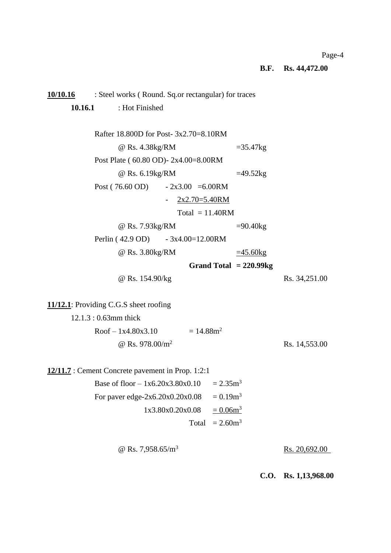#### Page-4

**B.F. Rs. 44,472.00**

# **10/10.16** : Steel works ( Round. Sq.or rectangular) for traces **10.16.1** : Hot Finished Rafter 18.800D for Post- 3x2.70=8.10RM  $@$  Rs. 4.38kg/RM  $=35.47$ kg Post Plate ( 60.80 OD)- 2x4.00=8.00RM  $@$  Rs. 6.19kg/RM  $=49.52$ kg Post ( 76.60 OD)  $-2x3.00 = 6.00$ RM  $-$  2x2.70=5.40RM  $Total = 11.40RM$ @ Rs. 7.93kg/RM =90.40kg Perlin ( 42.9 OD) - 3x4.00=12.00RM  $@$  Rs. 3.80kg/RM  $=45.60$ kg **Grand Total = 220.99kg** @ Rs. 154.90/kg Rs. 34,251.00 **11/12.1**: Providing C.G.S sheet roofing 12.1.3 : 0.63mm thick  $Roof - 1x4.80x3.10 = 14.88m<sup>2</sup>$  $\omega$  Rs. 978.00/m<sup>2</sup> Rs. 14,553.00 **12/11.7** : Cement Concrete pavement in Prop. 1:2:1 Base of floor  $- 1x6.20x3.80x0.10 = 2.35m<sup>3</sup>$ For paver edge-2x6.20x0.20x0.08 =  $0.19m^3$  $1x3.80x0.20x0.08 = 0.06m<sup>3</sup>$ Total  $= 2.60$ m<sup>3</sup>  $\omega$  Rs. 7,958.65/m<sup>3</sup> Rs. 20,692.00 **C.O. Rs. 1,13,968.00**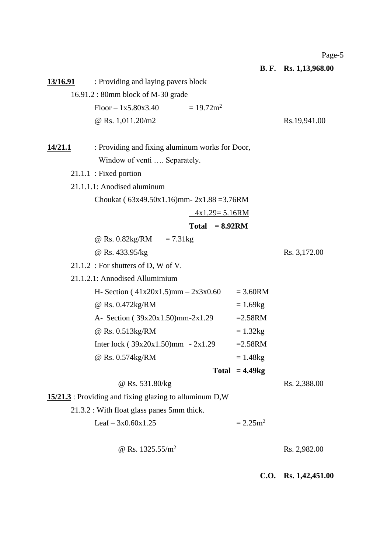Page-5

**B. F. Rs. 1,13,968.00 13/16.91** : Providing and laying pavers block 16.91.2 : 80mm block of M-30 grade  $Floor - 1x5.80x3.40 = 19.72m^2$  $\omega$  Rs. 1,011.20/m2 Rs. 19,941.00 **14/21.1** : Providing and fixing aluminum works for Door, Window of venti .... Separately. 21.1.1 : Fixed portion 21.1.1.1: Anodised aluminum Choukat ( 63x49.50x1.16)mm- 2x1.88 =3.76RM 4x1.29= 5.16RM **Total = 8.92RM**  $@$  Rs. 0.82kg/RM = 7.31kg @ Rs. 433.95/kg Rs. 3,172.00 21.1.2 : For shutters of D, W of V. 21.1.2.1: Annodised Allumimium H- Section ( $41x20x1.5$ )mm –  $2x3x0.60$  = 3.60RM  $@$  Rs. 0.472kg/RM  $= 1.69$ kg A- Section ( $39x20x1.50$ )mm-2x1.29 =2.58RM  $@$  Rs. 0.513kg/RM  $= 1.32$ kg Inter lock ( $39x20x1.50$ )mm  $-2x1.29$  =2.58RM  $\omega$  Rs. 0.574kg/RM  $= 1.48$ kg **Total = 4.49kg** @ Rs. 531.80/kg Rs. 2,388.00 **15/21.3** : Providing and fixing glazing to alluminum D,W 21.3.2 : With float glass panes 5mm thick. Leaf –  $3x0.60x1.25$  =  $2.25m^2$  $\omega$  Rs. 1325.55/m<sup>2</sup> Rs. 2,982.00

**C.O. Rs. 1,42,451.00**